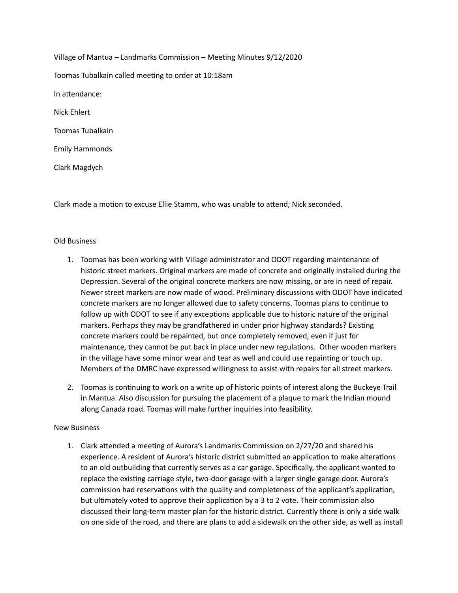Village of Mantua – Landmarks Commission – Meeting Minutes 9/12/2020 Toomas Tubalkain called meeting to order at 10:18am In attendance: Nick Ehlert Toomas Tubalkain Emily Hammonds Clark Magdych

Clark made a motion to excuse Ellie Stamm, who was unable to attend; Nick seconded.

## Old Business

- 1. Toomas has been working with Village administrator and ODOT regarding maintenance of historic street markers. Original markers are made of concrete and originally installed during the Depression. Several of the original concrete markers are now missing, or are in need of repair. Newer street markers are now made of wood. Preliminary discussions with ODOT have indicated concrete markers are no longer allowed due to safety concerns. Toomas plans to continue to follow up with ODOT to see if any exceptions applicable due to historic nature of the original markers. Perhaps they may be grandfathered in under prior highway standards? Existing concrete markers could be repainted, but once completely removed, even if just for maintenance, they cannot be put back in place under new regulations. Other wooden markers in the village have some minor wear and tear as well and could use repainting or touch up. Members of the DMRC have expressed willingness to assist with repairs for all street markers.
- 2. Toomas is continuing to work on a write up of historic points of interest along the Buckeye Trail in Mantua. Also discussion for pursuing the placement of a plaque to mark the Indian mound along Canada road. Toomas will make further inquiries into feasibility.

## New Business

1. Clark attended a meeting of Aurora's Landmarks Commission on 2/27/20 and shared his experience. A resident of Aurora's historic district submitted an application to make alterations to an old outbuilding that currently serves as a car garage. Specifically, the applicant wanted to replace the existing carriage style, two-door garage with a larger single garage door. Aurora's commission had reservations with the quality and completeness of the applicant's application, but ultimately voted to approve their application by a 3 to 2 vote. Their commission also discussed their long-term master plan for the historic district. Currently there is only a side walk on one side of the road, and there are plans to add a sidewalk on the other side, as well as install